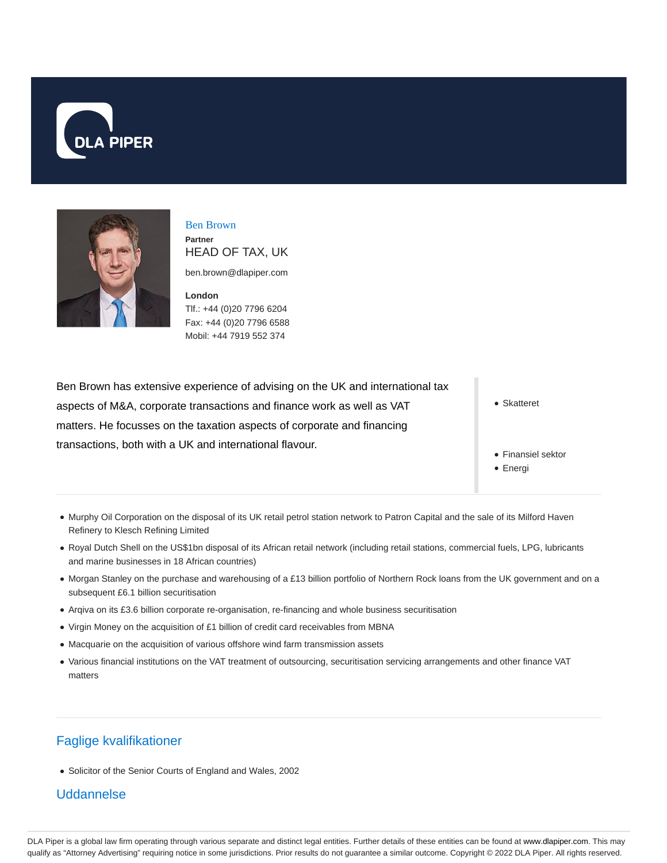



Ben Brown **Partner** HEAD OF TAX, UK

ben.brown@dlapiper.com

**London** Tlf.: +44 (0)20 7796 6204 Fax: +44 (0)20 7796 6588 Mobil: +44 7919 552 374

Ben Brown has extensive experience of advising on the UK and international tax aspects of M&A, corporate transactions and finance work as well as VAT matters. He focusses on the taxation aspects of corporate and financing transactions, both with a UK and international flavour.

Skatteret

- Finansiel sektor
- Energi
- Murphy Oil Corporation on the disposal of its UK retail petrol station network to Patron Capital and the sale of its Milford Haven Refinery to Klesch Refining Limited
- Royal Dutch Shell on the US\$1bn disposal of its African retail network (including retail stations, commercial fuels, LPG, lubricants and marine businesses in 18 African countries)
- Morgan Stanley on the purchase and warehousing of a £13 billion portfolio of Northern Rock loans from the UK government and on a subsequent £6.1 billion securitisation
- Arqiva on its £3.6 billion corporate re-organisation, re-financing and whole business securitisation
- Virgin Money on the acquisition of £1 billion of credit card receivables from MBNA
- Macquarie on the acquisition of various offshore wind farm transmission assets
- Various financial institutions on the VAT treatment of outsourcing, securitisation servicing arrangements and other finance VAT matters

# Faglige kvalifikationer

Solicitor of the Senior Courts of England and Wales, 2002

#### Uddannelse